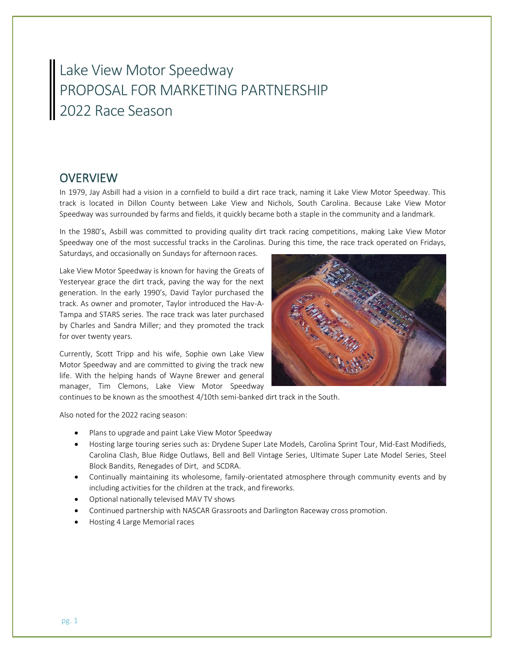# Lake View Motor Speedway PROPOSAL FOR MARKETING PARTNERSHIP 2022 Race Season

# **OVERVIEW**

In 1979, Jay Asbill had a vision in a cornfield to build a dirt race track, naming it Lake View Motor Speedway. This track is located in Dillon County between Lake View and Nichols, South Carolina. Because Lake View Motor Speedway was surrounded by farms and fields, it quickly became both a staple in the community and a landmark.

In the 1980's, Asbill was committed to providing quality dirt track racing competitions, making Lake View Motor Speedway one of the most successful tracks in the Carolinas. During this time, the race track operated on Fridays, Saturdays, and occasionally on Sundays for afternoon races.

Lake View Motor Speedway is known for having the Greats of Yesteryear grace the dirt track, paving the way for the next generation. In the early 1990's, David Taylor purchased the track. As owner and promoter, Taylor introduced the Hav-A-Tampa and STARS series. The race track was later purchased by Charles and Sandra Miller; and they promoted the track for over twenty years.

Currently, Scott Tripp and his wife, Sophie own Lake View Motor Speedway and are committed to giving the track new life. With the helping hands of Wayne Brewer and general manager, Tim Clemons, Lake View Motor Speedway



continues to be known as the smoothest 4/10th semi-banked dirt track in the South.

Also noted for the 2022 racing season:

- Plans to upgrade and paint Lake View Motor Speedway
- Hosting large touring series such as: Drydene Super Late Models, Carolina Sprint Tour, Mid-East Modifieds, Carolina Clash, Blue Ridge Outlaws, Bell and Bell Vintage Series, Ultimate Super Late Model Series, Steel Block Bandits, Renegades of Dirt, and SCDRA.
- Continually maintaining its wholesome, family-orientated atmosphere through community events and by including activities for the children at the track, and fireworks.
- Optional nationally televised MAV TV shows
- Continued partnership with NASCAR Grassroots and Darlington Raceway cross promotion.
- Hosting 4 Large Memorial races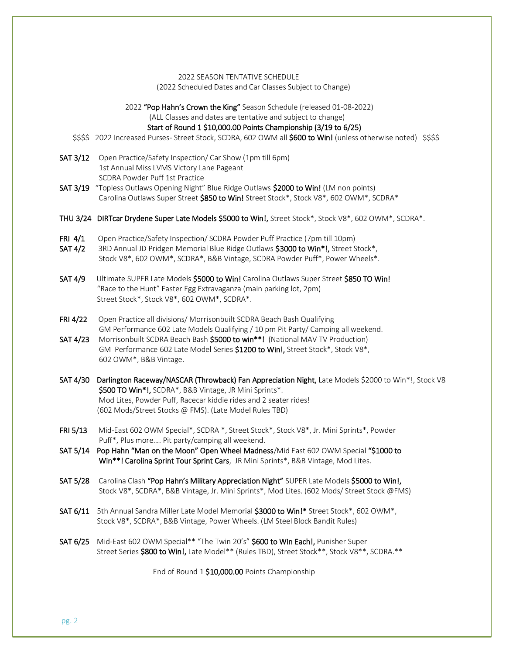### 2022 SEASON TENTATIVE SCHEDULE

(2022 Scheduled Dates and Car Classes Subject to Change)

2022 "Pop Hahn's Crown the King" Season Schedule (released 01-08-2022)

(ALL Classes and dates are tentative and subject to change)

Start of Round 1 \$10,000.00 Points Championship (3/19 to 6/25)

- \$\$\$\$ 2022 Increased Purses- Street Stock, SCDRA, 602 OWM all **\$600 to Win!** (unless otherwise noted) \$\$\$\$
- SAT 3/12 Open Practice/Safety Inspection/ Car Show (1pm till 6pm) 1st Annual Miss LVMS Victory Lane Pageant SCDRA Powder Puff 1st Practice
- SAT 3/19 "Topless Outlaws Opening Night" Blue Ridge Outlaws \$2000 to Win! (LM non points) Carolina Outlaws Super Street \$850 to Win! Street Stock\*, Stock V8\*, 602 OWM\*, SCDRA\*
- THU 3/24 DIRTcar Drydene Super Late Models \$5000 to Win!, Street Stock\*, Stock V8\*, 602 OWM\*, SCDRA\*.
- FRI 4/1 Open Practice/Safety Inspection/ SCDRA Powder Puff Practice (7pm till 10pm)
- SAT 4/2 3RD Annual JD Pridgen Memorial Blue Ridge Outlaws \$3000 to Win\*!, Street Stock\*, Stock V8\*, 602 OWM\*, SCDRA\*, B&B Vintage, SCDRA Powder Puff\*, Power Wheels\*.
- SAT 4/9 Ultimate SUPER Late Models \$5000 to Win! Carolina Outlaws Super Street \$850 TO Win! "Race to the Hunt" Easter Egg Extravaganza (main parking lot, 2pm) Street Stock\*, Stock V8\*, 602 OWM\*, SCDRA\*.
- FRI 4/22 Open Practice all divisions/ Morrisonbuilt SCDRA Beach Bash Qualifying GM Performance 602 Late Models Qualifying / 10 pm Pit Party/ Camping all weekend.
- SAT 4/23 Morrisonbuilt SCDRA Beach Bash \$5000 to win\*\*! (National MAV TV Production) GM Performance 602 Late Model Series \$1200 to Win!, Street Stock\*, Stock V8\*, 602 OWM\*, B&B Vintage.
- SAT 4/30 Darlington Raceway/NASCAR (Throwback) Fan Appreciation Night, Late Models \$2000 to Win\*!, Stock V8 \$500 TO Win\*!, SCDRA\*, B&B Vintage, JR Mini Sprints\*. Mod Lites, Powder Puff, Racecar kiddie rides and 2 seater rides! (602 Mods/Street Stocks @ FMS). (Late Model Rules TBD)
- FRI 5/13 Mid-East 602 OWM Special\*, SCDRA \*, Street Stock\*, Stock V8\*, Jr. Mini Sprints\*, Powder Puff\*, Plus more…. Pit party/camping all weekend.
- SAT 5/14 Pop Hahn "Man on the Moon" Open Wheel Madness/Mid East 602 OWM Special "\$1000 to Win\*\*! Carolina Sprint Tour Sprint Cars, JR Mini Sprints\*, B&B Vintage, Mod Lites.
- SAT 5/28 Carolina Clash "Pop Hahn's Military Appreciation Night" SUPER Late Models \$5000 to Win!, Stock V8\*, SCDRA\*, B&B Vintage, Jr. Mini Sprints\*, Mod Lites. (602 Mods/ Street Stock @FMS)
- SAT 6/11 5th Annual Sandra Miller Late Model Memorial \$3000 to Win!\* Street Stock\*, 602 OWM\*, Stock V8\*, SCDRA\*, B&B Vintage, Power Wheels. (LM Steel Block Bandit Rules)
- SAT 6/25 Mid-East 602 OWM Special\*\* "The Twin 20's" \$600 to Win Each!, Punisher Super Street Series \$800 to Win!, Late Model\*\* (Rules TBD), Street Stock\*\*, Stock V8\*\*, SCDRA.\*\*

End of Round 1 \$10,000.00 Points Championship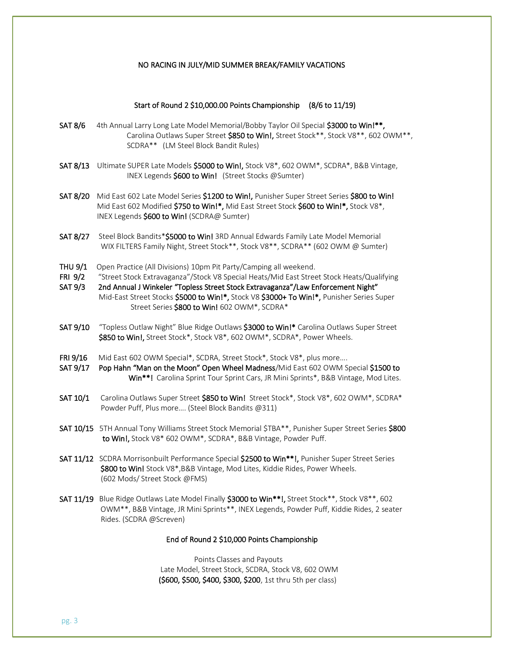### NO RACING IN JULY/MID SUMMER BREAK/FAMILY VACATIONS

### Start of Round 2 \$10,000.00 Points Championship (8/6 to 11/19)

- SAT 8/6 4th Annual Larry Long Late Model Memorial/Bobby Taylor Oil Special \$3000 to Win!\*\*, Carolina Outlaws Super Street \$850 to Win!, Street Stock\*\*, Stock V8\*\*, 602 OWM\*\*, SCDRA\*\* (LM Steel Block Bandit Rules)
- SAT 8/13 Ultimate SUPER Late Models \$5000 to Win!, Stock V8\*, 602 OWM\*, SCDRA\*, B&B Vintage, INEX Legends \$600 to Win! (Street Stocks @Sumter)
- SAT 8/20 Mid East 602 Late Model Series \$1200 to Win!, Punisher Super Street Series \$800 to Win! Mid East 602 Modified \$750 to Win!\*, Mid East Street Stock \$600 to Win!\*, Stock V8\*, INEX Legends \$600 to Win! (SCDRA@ Sumter)
- SAT 8/27 Steel Block Bandits\*\$5000 to Win! 3RD Annual Edwards Family Late Model Memorial WIX FILTERS Family Night, Street Stock\*\*, Stock V8\*\*, SCDRA\*\* (602 OWM @ Sumter)
- THU 9/1 Open Practice (All Divisions) 10pm Pit Party/Camping all weekend.
- FRI 9/2 "Street Stock Extravaganza"/Stock V8 Special Heats/Mid East Street Stock Heats/Qualifying
- SAT 9/3 2nd Annual J Winkeler "Topless Street Stock Extravaganza"/Law Enforcement Night" Mid-East Street Stocks \$5000 to Win!\*, Stock V8 \$3000+ To Win!\*, Punisher Series Super Street Series \$800 to Win! 602 OWM\*, SCDRA\*
- SAT 9/10 "Topless Outlaw Night" Blue Ridge Outlaws \$3000 to Win!\* Carolina Outlaws Super Street \$850 to Win!, Street Stock\*, Stock V8\*, 602 OWM\*, SCDRA\*, Power Wheels.
- FRI 9/16 Mid East 602 OWM Special\*, SCDRA, Street Stock\*, Stock V8\*, plus more....
- SAT 9/17 Pop Hahn "Man on the Moon" Open Wheel Madness/Mid East 602 OWM Special \$1500 to Win\*\*! Carolina Sprint Tour Sprint Cars, JR Mini Sprints\*, B&B Vintage, Mod Lites.
- SAT 10/1 Carolina Outlaws Super Street \$850 to Win! Street Stock\*, Stock V8\*, 602 OWM\*, SCDRA\* Powder Puff, Plus more…. (Steel Block Bandits @311)
- SAT 10/15 5TH Annual Tony Williams Street Stock Memorial \$TBA\*\*, Punisher Super Street Series \$800 to Win!, Stock V8\* 602 OWM\*, SCDRA\*, B&B Vintage, Powder Puff.
- SAT 11/12 SCDRA Morrisonbuilt Performance Special \$2500 to Win\*\*!, Punisher Super Street Series \$800 to Win! Stock V8\*, B&B Vintage, Mod Lites, Kiddie Rides, Power Wheels. (602 Mods/ Street Stock @FMS)
- SAT 11/19 Blue Ridge Outlaws Late Model Finally \$3000 to Win\*\*!, Street Stock\*\*, Stock V8\*\*, 602 OWM\*\*, B&B Vintage, JR Mini Sprints\*\*, INEX Legends, Powder Puff, Kiddie Rides, 2 seater Rides. (SCDRA @Screven)

#### End of Round 2 \$10,000 Points Championship

 Points Classes and Payouts Late Model, Street Stock, SCDRA, Stock V8, 602 OWM (\$600, \$500, \$400, \$300, \$200, 1st thru 5th per class)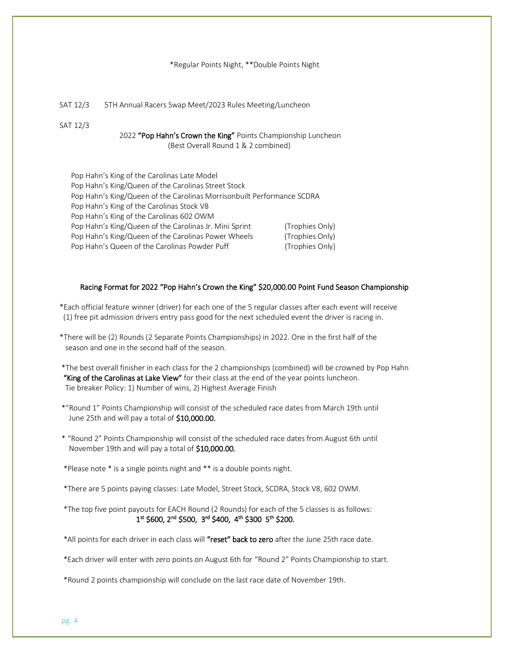#### \*Regular Points Night, \*\*Double Points Night

SAT 12/3 5TH Annual Racers Swap Meet/2023 Rules Meeting/Luncheon

SAT 12/3

2022 "Pop Hahn's Crown the King" Points Championship Luncheon (Best Overall Round 1 & 2 combined)

| Pop Hahn's King of the Carolinas Late Model                            |                 |
|------------------------------------------------------------------------|-----------------|
| Pop Hahn's King/Queen of the Carolinas Street Stock                    |                 |
| Pop Hahn's King/Queen of the Carolinas Morrisonbuilt Performance SCDRA |                 |
| Pop Hahn's King of the Carolinas Stock V8                              |                 |
| Pop Hahn's King of the Carolinas 602 OWM                               |                 |
| Pop Hahn's King/Queen of the Carolinas Jr. Mini Sprint                 | (Trophies Only) |
| Pop Hahn's King/Queen of the Carolinas Power Wheels                    | (Trophies Only) |
| Pop Hahn's Queen of the Carolinas Powder Puff                          | (Trophies Only) |
|                                                                        |                 |

### Racing Format for 2022 "Pop Hahn's Crown the King" \$20,000.00 Point Fund Season Championship

- \*Each official feature winner (driver) for each one of the 5 regular classes after each event will receive (1) free pit admission drivers entry pass good for the next scheduled event the driver is racing in.
- \*There will be (2) Rounds (2 Separate Points Championships) in 2022. One in the first half of the season and one in the second half of the season.
- \*The best overall finisher in each class for the 2 championships (combined) will be crowned by Pop Hahn "King of the Carolinas at Lake View" for their class at the end of the year points luncheon. Tie breaker Policy: 1) Number of wins, 2) Highest Average Finish
- \*"Round 1" Points Championship will consist of the scheduled race dates from March 19th until June 25th and will pay a total of \$10,000.00.
- \* "Round 2" Points Championship will consist of the scheduled race dates from August 6th until November 19th and will pay a total of \$10,000.00.
- \*Please note \* is a single points night and \*\* is a double points night.
- \*There are 5 points paying classes: Late Model, Street Stock, SCDRA, Stock V8, 602 OWM.
- \*The top five point payouts for EACH Round (2 Rounds) for each of the 5 classes is as follows:  $\sim$  1 <sup>st</sup> \$600, 2<sup>nd</sup> \$500, 3<sup>rd</sup> \$400, 4<sup>th</sup> \$300 5<sup>th</sup> \$200.

\*All points for each driver in each class will "reset" back to zero after the June 25th race date.

\*Each driver will enter with zero points on August 6th for "Round 2" Points Championship to start.

\*Round 2 points championship will conclude on the last race date of November 19th.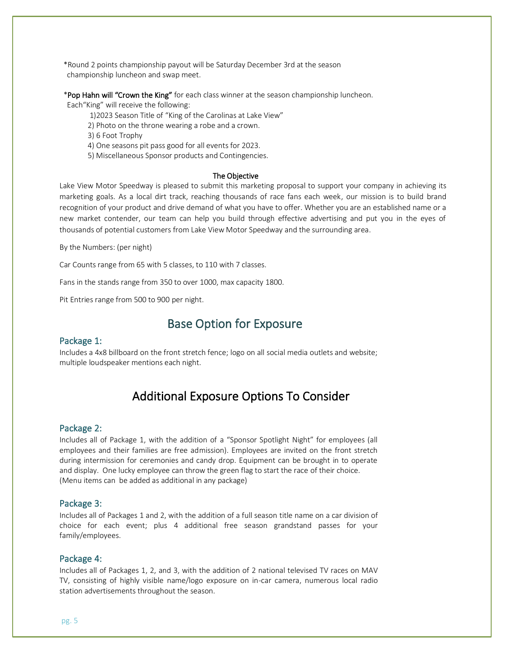\*Round 2 points championship payout will be Saturday December 3rd at the season championship luncheon and swap meet.

\*Pop Hahn will "Crown the King" for each class winner at the season championship luncheon.

Each"King" will receive the following:

1)2023 Season Title of "King of the Carolinas at Lake View"

2) Photo on the throne wearing a robe and a crown.

3) 6 Foot Trophy

4) One seasons pit pass good for all events for 2023.

5) Miscellaneous Sponsor products and Contingencies.

#### The Objective

Lake View Motor Speedway is pleased to submit this marketing proposal to support your company in achieving its marketing goals. As a local dirt track, reaching thousands of race fans each week, our mission is to build brand recognition of your product and drive demand of what you have to offer. Whether you are an established name or a new market contender, our team can help you build through effective advertising and put you in the eyes of thousands of potential customers from Lake View Motor Speedway and the surrounding area.

By the Numbers: (per night)

Car Counts range from 65 with 5 classes, to 110 with 7 classes.

Fans in the stands range from 350 to over 1000, max capacity 1800.

Pit Entries range from 500 to 900 per night.

# Base Option for Exposure

### Package 1:

Includes a 4x8 billboard on the front stretch fence; logo on all social media outlets and website; multiple loudspeaker mentions each night.

# Additional Exposure Options To Consider

### Package 2:

Includes all of Package 1, with the addition of a "Sponsor Spotlight Night" for employees (all employees and their families are free admission). Employees are invited on the front stretch during intermission for ceremonies and candy drop. Equipment can be brought in to operate and display. One lucky employee can throw the green flag to start the race of their choice. (Menu items can be added as additional in any package)

### Package 3:

Includes all of Packages 1 and 2, with the addition of a full season title name on a car division of choice for each event; plus 4 additional free season grandstand passes for your family/employees.

### Package 4:

Includes all of Packages 1, 2, and 3, with the addition of 2 national televised TV races on MAV TV, consisting of highly visible name/logo exposure on in-car camera, numerous local radio station advertisements throughout the season.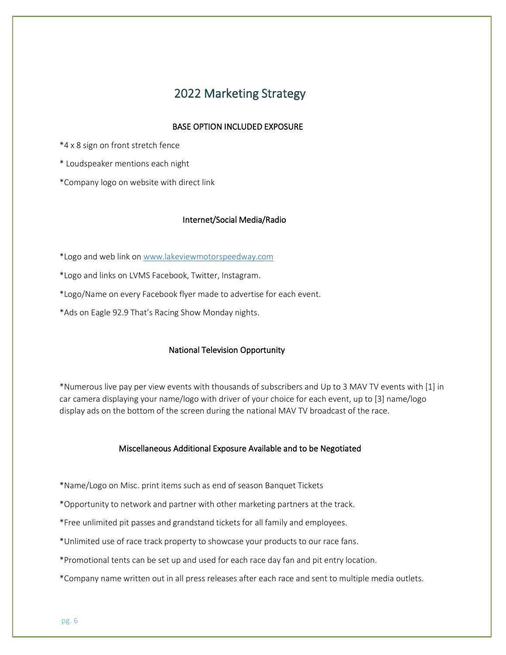# 2022 Marketing Strategy

### BASE OPTION INCLUDED EXPOSURE

\*4 x 8 sign on front stretch fence

\* Loudspeaker mentions each night

\*Company logo on website with direct link

### Internet/Social Media/Radio

\*Logo and web link o[n www.lakeviewmotorspeedway.com](http://www.lakeviewmotorspeedway.com/)

\*Logo and links on LVMS Facebook, Twitter, Instagram.

\*Logo/Name on every Facebook flyer made to advertise for each event.

\*Ads on Eagle 92.9 That's Racing Show Monday nights.

### National Television Opportunity

\*Numerous live pay per view events with thousands of subscribers and Up to 3 MAV TV events with [1] in car camera displaying your name/logo with driver of your choice for each event, up to [3] name/logo display ads on the bottom of the screen during the national MAV TV broadcast of the race.

### Miscellaneous Additional Exposure Available and to be Negotiated

- \*Name/Logo on Misc. print items such as end of season Banquet Tickets
- \*Opportunity to network and partner with other marketing partners at the track.
- \*Free unlimited pit passes and grandstand tickets for all family and employees.
- \*Unlimited use of race track property to showcase your products to our race fans.
- \*Promotional tents can be set up and used for each race day fan and pit entry location.
- \*Company name written out in all press releases after each race and sent to multiple media outlets.